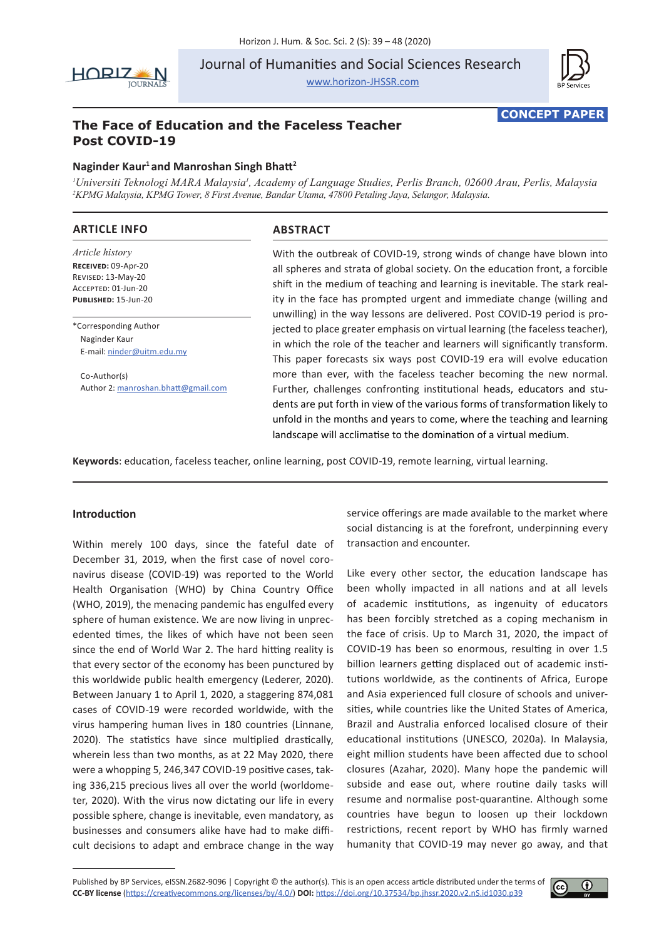

Journal of Humanities and Social Sciences Research

<www.horizon-JHSSR.com>



**CONCEPT PAPER**

# **The Face of Education and the Faceless Teacher Post COVID-19**

# **Naginder Kaur1 and Manroshan Singh Bhatt<sup>2</sup>**

*1 Universiti Teknologi MARA Malaysia1 , Academy of Language Studies, Perlis Branch, 02600 Arau, Perlis, Malaysia 2 KPMG Malaysia, KPMG Tower, 8 First Avenue, Bandar Utama, 47800 Petaling Jaya, Selangor, Malaysia.*

# **ARTICLE INFO**

*Article history* **Received:** 09-Apr-20 Revised: 13-May-20 Accepted: 01-Jun-20 **Published:** 15-Jun-20

\*Corresponding Author Naginder Kaur E-mail: [ninder@uitm.edu.my](mailto:ninder@uitm.edu.my)

Co-Author(s) Author 2: [manroshan.bhatt@gmail.com](mailto:manroshan.bhatt@gmail.com)

# **ABSTRACT**

With the outbreak of COVID-19, strong winds of change have blown into all spheres and strata of global society. On the education front, a forcible shift in the medium of teaching and learning is inevitable. The stark reality in the face has prompted urgent and immediate change (willing and unwilling) in the way lessons are delivered. Post COVID-19 period is projected to place greater emphasis on virtual learning (the faceless teacher), in which the role of the teacher and learners will significantly transform. This paper forecasts six ways post COVID-19 era will evolve education more than ever, with the faceless teacher becoming the new normal. Further, challenges confronting institutional heads, educators and students are put forth in view of the various forms of transformation likely to unfold in the months and years to come, where the teaching and learning landscape will acclimatise to the domination of a virtual medium.

**Keywords**: education, faceless teacher, online learning, post COVID-19, remote learning, virtual learning.

# **Introduction**

Within merely 100 days, since the fateful date of December 31, 2019, when the first case of novel coronavirus disease (COVID-19) was reported to the World Health Organisation (WHO) by China Country Office (WHO, 2019), the menacing pandemic has engulfed every sphere of human existence. We are now living in unprecedented times, the likes of which have not been seen since the end of World War 2. The hard hitting reality is that every sector of the economy has been punctured by this worldwide public health emergency (Lederer, 2020). Between January 1 to April 1, 2020, a staggering 874,081 cases of COVID-19 were recorded worldwide, with the virus hampering human lives in 180 countries (Linnane, 2020). The statistics have since multiplied drastically, wherein less than two months, as at 22 May 2020, there were a whopping 5, 246,347 COVID-19 positive cases, taking 336,215 precious lives all over the world (worldometer, 2020). With the virus now dictating our life in every possible sphere, change is inevitable, even mandatory, as businesses and consumers alike have had to make difficult decisions to adapt and embrace change in the way

service offerings are made available to the market where social distancing is at the forefront, underpinning every transaction and encounter.

Like every other sector, the education landscape has been wholly impacted in all nations and at all levels of academic institutions, as ingenuity of educators has been forcibly stretched as a coping mechanism in the face of crisis. Up to March 31, 2020, the impact of COVID-19 has been so enormous, resulting in over 1.5 billion learners getting displaced out of academic institutions worldwide, as the continents of Africa, Europe and Asia experienced full closure of schools and universities, while countries like the United States of America, Brazil and Australia enforced localised closure of their educational institutions (UNESCO, 2020a). In Malaysia, eight million students have been affected due to school closures (Azahar, 2020). Many hope the pandemic will subside and ease out, where routine daily tasks will resume and normalise post-quarantine. Although some countries have begun to loosen up their lockdown restrictions, recent report by WHO has firmly warned humanity that COVID-19 may never go away, and that

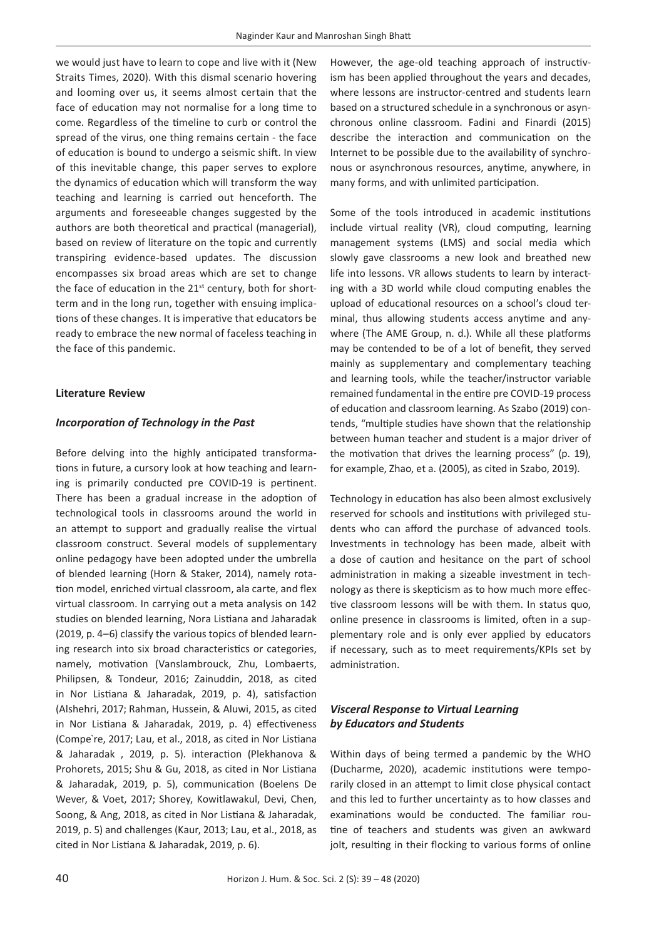we would just have to learn to cope and live with it (New Straits Times, 2020). With this dismal scenario hovering and looming over us, it seems almost certain that the face of education may not normalise for a long time to come. Regardless of the timeline to curb or control the spread of the virus, one thing remains certain - the face of education is bound to undergo a seismic shift. In view of this inevitable change, this paper serves to explore the dynamics of education which will transform the way teaching and learning is carried out henceforth. The arguments and foreseeable changes suggested by the authors are both theoretical and practical (managerial), based on review of literature on the topic and currently transpiring evidence-based updates. The discussion encompasses six broad areas which are set to change the face of education in the  $21<sup>st</sup>$  century, both for shortterm and in the long run, together with ensuing implications of these changes. It is imperative that educators be ready to embrace the new normal of faceless teaching in the face of this pandemic.

#### **Literature Review**

### *Incorporation of Technology in the Past*

Before delving into the highly anticipated transformations in future, a cursory look at how teaching and learning is primarily conducted pre COVID-19 is pertinent. There has been a gradual increase in the adoption of technological tools in classrooms around the world in an attempt to support and gradually realise the virtual classroom construct. Several models of supplementary online pedagogy have been adopted under the umbrella of blended learning (Horn & Staker, 2014), namely rotation model, enriched virtual classroom, ala carte, and flex virtual classroom. In carrying out a meta analysis on 142 studies on blended learning, Nora Listiana and Jaharadak (2019, p. 4–6) classify the various topics of blended learning research into six broad characteristics or categories, namely, motivation (Vanslambrouck, Zhu, Lombaerts, Philipsen, & Tondeur, 2016; Zainuddin, 2018, as cited in Nor Listiana & Jaharadak, 2019, p. 4), satisfaction (Alshehri, 2017; Rahman, Hussein, & Aluwi, 2015, as cited in Nor Listiana & Jaharadak, 2019, p. 4) effectiveness (Compe`re, 2017; Lau, et al., 2018, as cited in Nor Listiana & Jaharadak , 2019, p. 5). interaction (Plekhanova & Prohorets, 2015; Shu & Gu, 2018, as cited in Nor Listiana & Jaharadak, 2019, p. 5), communication (Boelens De Wever, & Voet, 2017; Shorey, Kowitlawakul, Devi, Chen, Soong, & Ang, 2018, as cited in Nor Listiana & Jaharadak, 2019, p. 5) and challenges (Kaur, 2013; Lau, et al., 2018, as cited in Nor Listiana & Jaharadak, 2019, p. 6).

However, the age-old teaching approach of instructivism has been applied throughout the years and decades, where lessons are instructor-centred and students learn based on a structured schedule in a synchronous or asynchronous online classroom. Fadini and Finardi (2015) describe the interaction and communication on the Internet to be possible due to the availability of synchronous or asynchronous resources, anytime, anywhere, in many forms, and with unlimited participation.

Some of the tools introduced in academic institutions include virtual reality (VR), cloud computing, learning management systems (LMS) and social media which slowly gave classrooms a new look and breathed new life into lessons. VR allows students to learn by interacting with a 3D world while cloud computing enables the upload of educational resources on a school's cloud terminal, thus allowing students access anytime and anywhere (The AME Group, n. d.). While all these platforms may be contended to be of a lot of benefit, they served mainly as supplementary and complementary teaching and learning tools, while the teacher/instructor variable remained fundamental in the entire pre COVID-19 process of education and classroom learning. As Szabo (2019) contends, "multiple studies have shown that the relationship between human teacher and student is a major driver of the motivation that drives the learning process" (p. 19), for example, Zhao, et a. (2005), as cited in Szabo, 2019).

Technology in education has also been almost exclusively reserved for schools and institutions with privileged students who can afford the purchase of advanced tools. Investments in technology has been made, albeit with a dose of caution and hesitance on the part of school administration in making a sizeable investment in technology as there is skepticism as to how much more effective classroom lessons will be with them. In status quo, online presence in classrooms is limited, often in a supplementary role and is only ever applied by educators if necessary, such as to meet requirements/KPIs set by administration.

# *Visceral Response to Virtual Learning by Educators and Students*

Within days of being termed a pandemic by the WHO (Ducharme, 2020), academic institutions were temporarily closed in an attempt to limit close physical contact and this led to further uncertainty as to how classes and examinations would be conducted. The familiar routine of teachers and students was given an awkward jolt, resulting in their flocking to various forms of online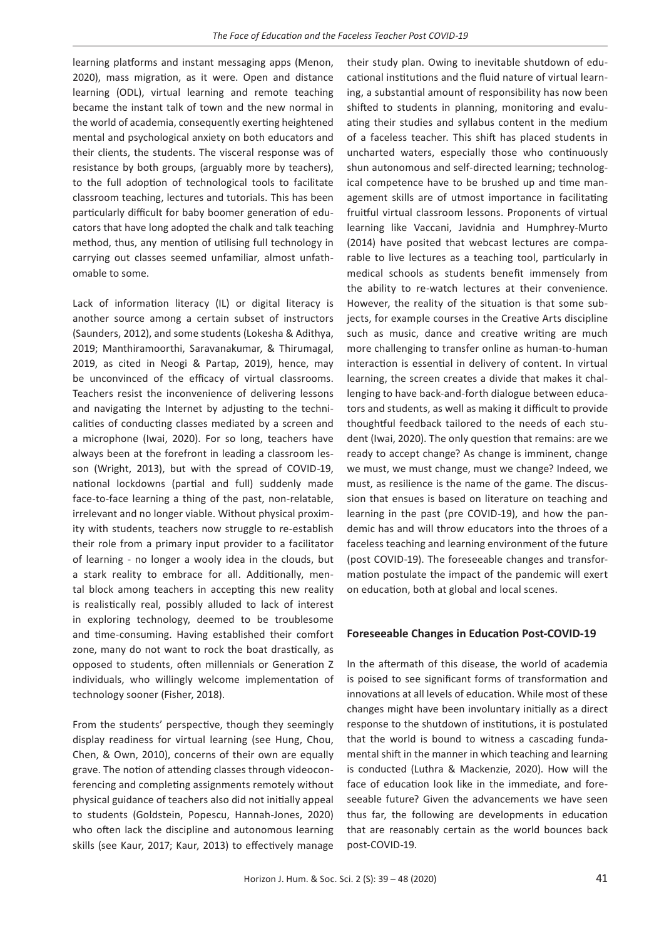learning platforms and instant messaging apps (Menon, 2020), mass migration, as it were. Open and distance learning (ODL), virtual learning and remote teaching became the instant talk of town and the new normal in the world of academia, consequently exerting heightened mental and psychological anxiety on both educators and their clients, the students. The visceral response was of resistance by both groups, (arguably more by teachers), to the full adoption of technological tools to facilitate classroom teaching, lectures and tutorials. This has been particularly difficult for baby boomer generation of educators that have long adopted the chalk and talk teaching method, thus, any mention of utilising full technology in carrying out classes seemed unfamiliar, almost unfathomable to some.

Lack of information literacy (IL) or digital literacy is another source among a certain subset of instructors (Saunders, 2012), and some students (Lokesha & Adithya, 2019; Manthiramoorthi, Saravanakumar, & Thirumagal, 2019, as cited in Neogi & Partap, 2019), hence, may be unconvinced of the efficacy of virtual classrooms. Teachers resist the inconvenience of delivering lessons and navigating the Internet by adjusting to the technicalities of conducting classes mediated by a screen and a microphone (Iwai, 2020). For so long, teachers have always been at the forefront in leading a classroom lesson (Wright, 2013), but with the spread of COVID-19, national lockdowns (partial and full) suddenly made face-to-face learning a thing of the past, non-relatable, irrelevant and no longer viable. Without physical proximity with students, teachers now struggle to re-establish their role from a primary input provider to a facilitator of learning - no longer a wooly idea in the clouds, but a stark reality to embrace for all. Additionally, mental block among teachers in accepting this new reality is realistically real, possibly alluded to lack of interest in exploring technology, deemed to be troublesome and time-consuming. Having established their comfort zone, many do not want to rock the boat drastically, as opposed to students, often millennials or Generation Z individuals, who willingly welcome implementation of technology sooner (Fisher, 2018).

From the students' perspective, though they seemingly display readiness for virtual learning (see Hung, Chou, Chen, & Own, 2010), concerns of their own are equally grave. The notion of attending classes through videoconferencing and completing assignments remotely without physical guidance of teachers also did not initially appeal to students (Goldstein, Popescu, Hannah-Jones, 2020) who often lack the discipline and autonomous learning skills (see Kaur, 2017; Kaur, 2013) to effectively manage their study plan. Owing to inevitable shutdown of educational institutions and the fluid nature of virtual learning, a substantial amount of responsibility has now been shifted to students in planning, monitoring and evaluating their studies and syllabus content in the medium of a faceless teacher. This shift has placed students in uncharted waters, especially those who continuously shun autonomous and self-directed learning; technological competence have to be brushed up and time management skills are of utmost importance in facilitating fruitful virtual classroom lessons. Proponents of virtual learning like Vaccani, Javidnia and Humphrey-Murto (2014) have posited that webcast lectures are comparable to live lectures as a teaching tool, particularly in medical schools as students benefit immensely from the ability to re-watch lectures at their convenience. However, the reality of the situation is that some subjects, for example courses in the Creative Arts discipline such as music, dance and creative writing are much more challenging to transfer online as human-to-human interaction is essential in delivery of content. In virtual learning, the screen creates a divide that makes it challenging to have back-and-forth dialogue between educators and students, as well as making it difficult to provide thoughtful feedback tailored to the needs of each student (Iwai, 2020). The only question that remains: are we ready to accept change? As change is imminent, change we must, we must change, must we change? Indeed, we must, as resilience is the name of the game. The discussion that ensues is based on literature on teaching and learning in the past (pre COVID-19), and how the pandemic has and will throw educators into the throes of a faceless teaching and learning environment of the future (post COVID-19). The foreseeable changes and transformation postulate the impact of the pandemic will exert on education, both at global and local scenes.

#### **Foreseeable Changes in Education Post-COVID-19**

In the aftermath of this disease, the world of academia is poised to see significant forms of transformation and innovations at all levels of education. While most of these changes might have been involuntary initially as a direct response to the shutdown of institutions, it is postulated that the world is bound to witness a cascading fundamental shift in the manner in which teaching and learning is conducted (Luthra & Mackenzie, 2020). How will the face of education look like in the immediate, and foreseeable future? Given the advancements we have seen thus far, the following are developments in education that are reasonably certain as the world bounces back post-COVID-19.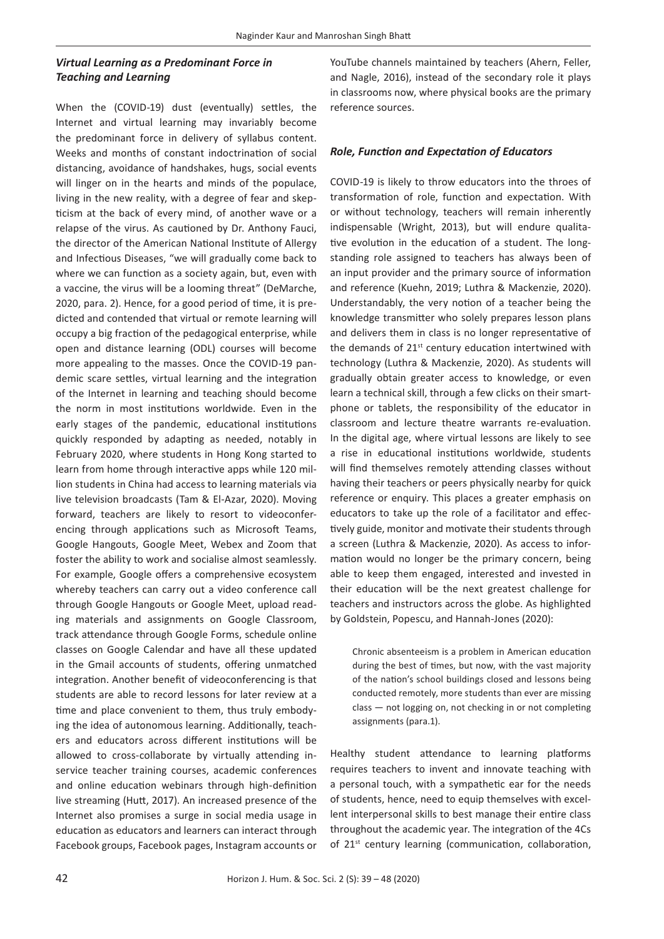# *Virtual Learning as a Predominant Force in Teaching and Learning*

When the (COVID-19) dust (eventually) settles, the Internet and virtual learning may invariably become the predominant force in delivery of syllabus content. Weeks and months of constant indoctrination of social distancing, avoidance of handshakes, hugs, social events will linger on in the hearts and minds of the populace, living in the new reality, with a degree of fear and skepticism at the back of every mind, of another wave or a relapse of the virus. As cautioned by Dr. Anthony Fauci, the director of the American National Institute of Allergy and Infectious Diseases, "we will gradually come back to where we can function as a society again, but, even with a vaccine, the virus will be a looming threat" (DeMarche, 2020, para. 2). Hence, for a good period of time, it is predicted and contended that virtual or remote learning will occupy a big fraction of the pedagogical enterprise, while open and distance learning (ODL) courses will become more appealing to the masses. Once the COVID-19 pandemic scare settles, virtual learning and the integration of the Internet in learning and teaching should become the norm in most institutions worldwide. Even in the early stages of the pandemic, educational institutions quickly responded by adapting as needed, notably in February 2020, where students in Hong Kong started to learn from home through interactive apps while 120 million students in China had access to learning materials via live television broadcasts (Tam & El-Azar, 2020). Moving forward, teachers are likely to resort to videoconferencing through applications such as Microsoft Teams, Google Hangouts, Google Meet, Webex and Zoom that foster the ability to work and socialise almost seamlessly. For example, Google offers a comprehensive ecosystem whereby teachers can carry out a video conference call through Google Hangouts or Google Meet, upload reading materials and assignments on Google Classroom, track attendance through Google Forms, schedule online classes on Google Calendar and have all these updated in the Gmail accounts of students, offering unmatched integration. Another benefit of videoconferencing is that students are able to record lessons for later review at a time and place convenient to them, thus truly embodying the idea of autonomous learning. Additionally, teachers and educators across different institutions will be allowed to cross-collaborate by virtually attending inservice teacher training courses, academic conferences and online education webinars through high-definition live streaming (Hutt, 2017). An increased presence of the Internet also promises a surge in social media usage in education as educators and learners can interact through Facebook groups, Facebook pages, Instagram accounts or YouTube channels maintained by teachers (Ahern, Feller, and Nagle, 2016), instead of the secondary role it plays in classrooms now, where physical books are the primary reference sources.

### *Role, Function and Expectation of Educators*

COVID-19 is likely to throw educators into the throes of transformation of role, function and expectation. With or without technology, teachers will remain inherently indispensable (Wright, 2013), but will endure qualitative evolution in the education of a student. The longstanding role assigned to teachers has always been of an input provider and the primary source of information and reference (Kuehn, 2019; Luthra & Mackenzie, 2020). Understandably, the very notion of a teacher being the knowledge transmitter who solely prepares lesson plans and delivers them in class is no longer representative of the demands of 21<sup>st</sup> century education intertwined with technology (Luthra & Mackenzie, 2020). As students will gradually obtain greater access to knowledge, or even learn a technical skill, through a few clicks on their smartphone or tablets, the responsibility of the educator in classroom and lecture theatre warrants re-evaluation. In the digital age, where virtual lessons are likely to see a rise in educational institutions worldwide, students will find themselves remotely attending classes without having their teachers or peers physically nearby for quick reference or enquiry. This places a greater emphasis on educators to take up the role of a facilitator and effectively guide, monitor and motivate their students through a screen (Luthra & Mackenzie, 2020). As access to information would no longer be the primary concern, being able to keep them engaged, interested and invested in their education will be the next greatest challenge for teachers and instructors across the globe. As highlighted by Goldstein, Popescu, and Hannah-Jones (2020):

Chronic absenteeism is a problem in American education during the best of times, but now, with the vast majority of the nation's school buildings closed and lessons being conducted remotely, more students than ever are missing class — not logging on, not checking in or not completing assignments (para.1).

Healthy student attendance to learning platforms requires teachers to invent and innovate teaching with a personal touch, with a sympathetic ear for the needs of students, hence, need to equip themselves with excellent interpersonal skills to best manage their entire class throughout the academic year. The integration of the 4Cs of 21<sup>st</sup> century learning (communication, collaboration,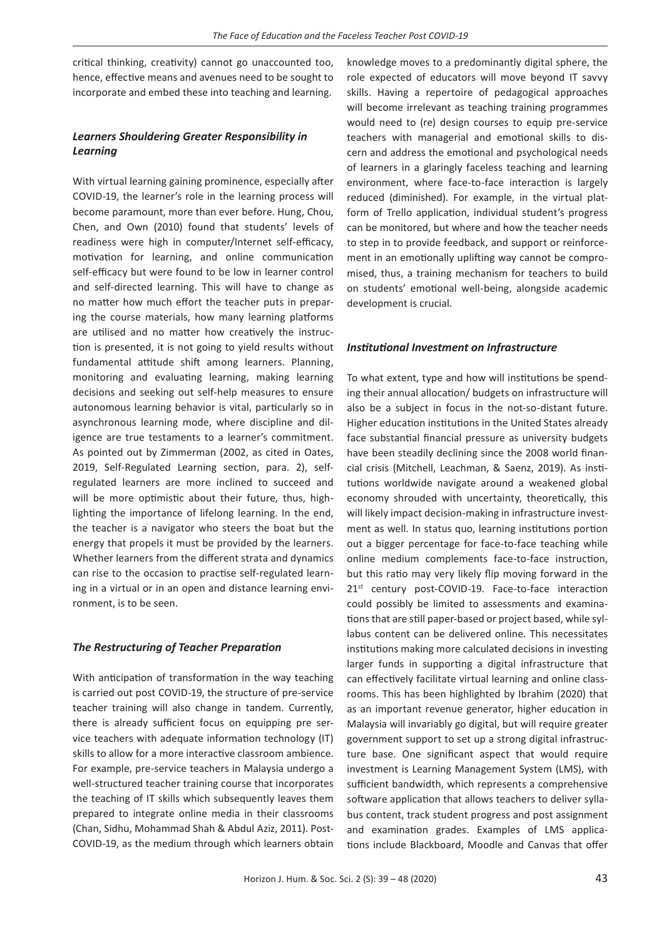critical thinking, creativity) cannot go unaccounted too, hence, effective means and avenues need to be sought to incorporate and embed these into teaching and learning.

# *Learners Shouldering Greater Responsibility in Learning*

With virtual learning gaining prominence, especially after COVID-19, the learner's role in the learning process will become paramount, more than ever before. Hung, Chou, Chen, and Own (2010) found that students' levels of readiness were high in computer/Internet self-efficacy, motivation for learning, and online communication self-efficacy but were found to be low in learner control and self-directed learning. This will have to change as no matter how much effort the teacher puts in preparing the course materials, how many learning platforms are utilised and no matter how creatively the instruction is presented, it is not going to yield results without fundamental attitude shift among learners. Planning, monitoring and evaluating learning, making learning decisions and seeking out self-help measures to ensure autonomous learning behavior is vital, particularly so in asynchronous learning mode, where discipline and diligence are true testaments to a learner's commitment. As pointed out by Zimmerman (2002, as cited in Oates, 2019, Self-Regulated Learning section, para. 2), selfregulated learners are more inclined to succeed and will be more optimistic about their future, thus, highlighting the importance of lifelong learning. In the end, the teacher is a navigator who steers the boat but the energy that propels it must be provided by the learners. Whether learners from the different strata and dynamics can rise to the occasion to practise self-regulated learning in a virtual or in an open and distance learning environment, is to be seen.

#### *The Restructuring of Teacher Preparation*

With anticipation of transformation in the way teaching is carried out post COVID-19, the structure of pre-service teacher training will also change in tandem. Currently, there is already sufficient focus on equipping pre service teachers with adequate information technology (IT) skills to allow for a more interactive classroom ambience. For example, pre-service teachers in Malaysia undergo a well-structured teacher training course that incorporates the teaching of IT skills which subsequently leaves them prepared to integrate online media in their classrooms (Chan, Sidhu, Mohammad Shah & Abdul Aziz, 2011). Post-COVID-19, as the medium through which learners obtain

knowledge moves to a predominantly digital sphere, the role expected of educators will move beyond IT savvy skills. Having a repertoire of pedagogical approaches will become irrelevant as teaching training programmes would need to (re) design courses to equip pre-service teachers with managerial and emotional skills to discern and address the emotional and psychological needs of learners in a glaringly faceless teaching and learning environment, where face-to-face interaction is largely reduced (diminished). For example, in the virtual platform of Trello application, individual student's progress can be monitored, but where and how the teacher needs to step in to provide feedback, and support or reinforcement in an emotionally uplifting way cannot be compromised, thus, a training mechanism for teachers to build on students' emotional well-being, alongside academic development is crucial.

### *Institutional Investment on Infrastructure*

To what extent, type and how will institutions be spending their annual allocation/ budgets on infrastructure will also be a subject in focus in the not-so-distant future. Higher education institutions in the United States already face substantial financial pressure as university budgets have been steadily declining since the 2008 world financial crisis (Mitchell, Leachman, & Saenz, 2019). As institutions worldwide navigate around a weakened global economy shrouded with uncertainty, theoretically, this will likely impact decision-making in infrastructure investment as well. In status quo, learning institutions portion out a bigger percentage for face-to-face teaching while online medium complements face-to-face instruction, but this ratio may very likely flip moving forward in the 21<sup>st</sup> century post-COVID-19. Face-to-face interaction could possibly be limited to assessments and examinations that are still paper-based or project based, while syllabus content can be delivered online. This necessitates institutions making more calculated decisions in investing larger funds in supporting a digital infrastructure that can effectively facilitate virtual learning and online classrooms. This has been highlighted by Ibrahim (2020) that as an important revenue generator, higher education in Malaysia will invariably go digital, but will require greater government support to set up a strong digital infrastructure base. One significant aspect that would require investment is Learning Management System (LMS), with sufficient bandwidth, which represents a comprehensive software application that allows teachers to deliver syllabus content, track student progress and post assignment and examination grades. Examples of LMS applications include Blackboard, Moodle and Canvas that offer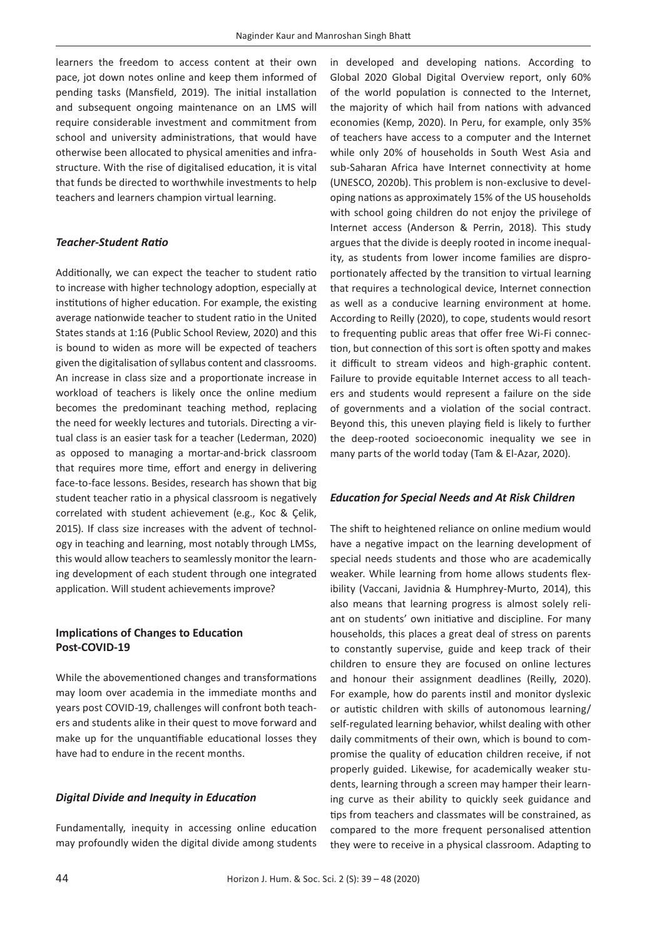learners the freedom to access content at their own pace, jot down notes online and keep them informed of pending tasks (Mansfield, 2019). The initial installation and subsequent ongoing maintenance on an LMS will require considerable investment and commitment from school and university administrations, that would have otherwise been allocated to physical amenities and infrastructure. With the rise of digitalised education, it is vital that funds be directed to worthwhile investments to help teachers and learners champion virtual learning.

### *Teacher-Student Ratio*

Additionally, we can expect the teacher to student ratio to increase with higher technology adoption, especially at institutions of higher education. For example, the existing average nationwide teacher to student ratio in the United States stands at 1:16 (Public School Review, 2020) and this is bound to widen as more will be expected of teachers given the digitalisation of syllabus content and classrooms. An increase in class size and a proportionate increase in workload of teachers is likely once the online medium becomes the predominant teaching method, replacing the need for weekly lectures and tutorials. Directing a virtual class is an easier task for a teacher (Lederman, 2020) as opposed to managing a mortar-and-brick classroom that requires more time, effort and energy in delivering face-to-face lessons. Besides, research has shown that big student teacher ratio in a physical classroom is negatively correlated with student achievement (e.g., Koc & Çelik, 2015). If class size increases with the advent of technology in teaching and learning, most notably through LMSs, this would allow teachers to seamlessly monitor the learning development of each student through one integrated application. Will student achievements improve?

# **Implications of Changes to Education Post-COVID-19**

While the abovementioned changes and transformations may loom over academia in the immediate months and years post COVID-19, challenges will confront both teachers and students alike in their quest to move forward and make up for the unquantifiable educational losses they have had to endure in the recent months.

# *Digital Divide and Inequity in Education*

Fundamentally, inequity in accessing online education may profoundly widen the digital divide among students in developed and developing nations. According to Global 2020 Global Digital Overview report, only 60% of the world population is connected to the Internet, the majority of which hail from nations with advanced economies (Kemp, 2020). In Peru, for example, only 35% of teachers have access to a computer and the Internet while only 20% of households in South West Asia and sub-Saharan Africa have Internet connectivity at home (UNESCO, 2020b). This problem is non-exclusive to developing nations as approximately 15% of the US households with school going children do not enjoy the privilege of Internet access (Anderson & Perrin, 2018). This study argues that the divide is deeply rooted in income inequality, as students from lower income families are disproportionately affected by the transition to virtual learning that requires a technological device, Internet connection as well as a conducive learning environment at home. According to Reilly (2020), to cope, students would resort to frequenting public areas that offer free Wi-Fi connection, but connection of this sort is often spotty and makes it difficult to stream videos and high-graphic content. Failure to provide equitable Internet access to all teachers and students would represent a failure on the side of governments and a violation of the social contract. Beyond this, this uneven playing field is likely to further the deep-rooted socioeconomic inequality we see in many parts of the world today (Tam & El-Azar, 2020).

# *Education for Special Needs and At Risk Children*

The shift to heightened reliance on online medium would have a negative impact on the learning development of special needs students and those who are academically weaker. While learning from home allows students flexibility (Vaccani, Javidnia & Humphrey-Murto, 2014), this also means that learning progress is almost solely reliant on students' own initiative and discipline. For many households, this places a great deal of stress on parents to constantly supervise, guide and keep track of their children to ensure they are focused on online lectures and honour their assignment deadlines (Reilly, 2020). For example, how do parents instil and monitor dyslexic or autistic children with skills of autonomous learning/ self-regulated learning behavior, whilst dealing with other daily commitments of their own, which is bound to compromise the quality of education children receive, if not properly guided. Likewise, for academically weaker students, learning through a screen may hamper their learning curve as their ability to quickly seek guidance and tips from teachers and classmates will be constrained, as compared to the more frequent personalised attention they were to receive in a physical classroom. Adapting to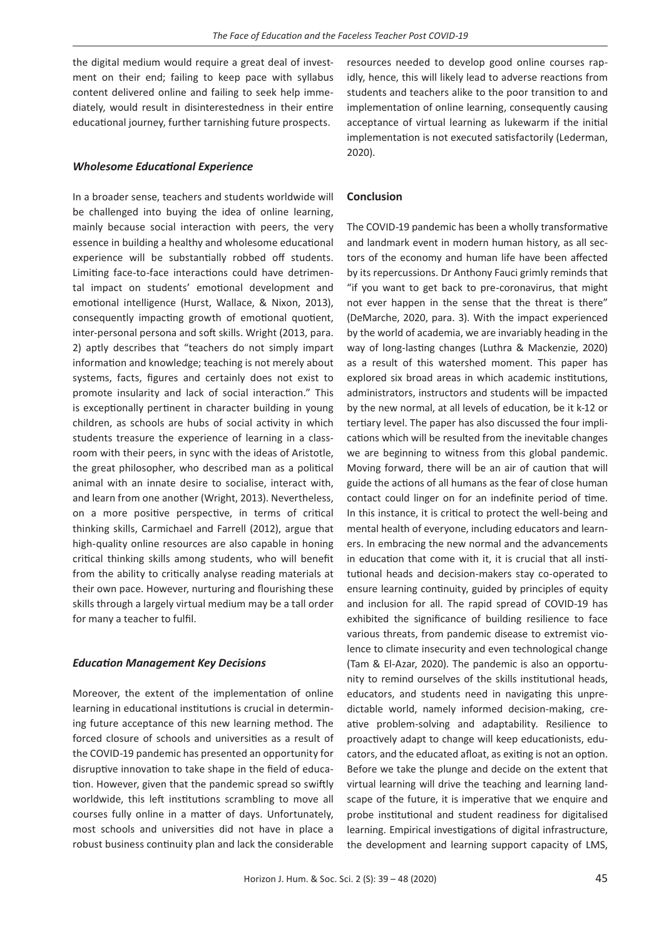the digital medium would require a great deal of investment on their end; failing to keep pace with syllabus content delivered online and failing to seek help immediately, would result in disinterestedness in their entire educational journey, further tarnishing future prospects.

#### *Wholesome Educational Experience*

In a broader sense, teachers and students worldwide will be challenged into buying the idea of online learning, mainly because social interaction with peers, the very essence in building a healthy and wholesome educational experience will be substantially robbed off students. Limiting face-to-face interactions could have detrimental impact on students' emotional development and emotional intelligence (Hurst, Wallace, & Nixon, 2013), consequently impacting growth of emotional quotient, inter-personal persona and soft skills. Wright (2013, para. 2) aptly describes that "teachers do not simply impart information and knowledge; teaching is not merely about systems, facts, figures and certainly does not exist to promote insularity and lack of social interaction." This is exceptionally pertinent in character building in young children, as schools are hubs of social activity in which students treasure the experience of learning in a classroom with their peers, in sync with the ideas of Aristotle, the great philosopher, who described man as a political animal with an innate desire to socialise, interact with, and learn from one another (Wright, 2013). Nevertheless, on a more positive perspective, in terms of critical thinking skills, Carmichael and Farrell (2012), argue that high-quality online resources are also capable in honing critical thinking skills among students, who will benefit from the ability to critically analyse reading materials at their own pace. However, nurturing and flourishing these skills through a largely virtual medium may be a tall order for many a teacher to fulfil.

#### *Education Management Key Decisions*

Moreover, the extent of the implementation of online learning in educational institutions is crucial in determining future acceptance of this new learning method. The forced closure of schools and universities as a result of the COVID-19 pandemic has presented an opportunity for disruptive innovation to take shape in the field of education. However, given that the pandemic spread so swiftly worldwide, this left institutions scrambling to move all courses fully online in a matter of days. Unfortunately, most schools and universities did not have in place a robust business continuity plan and lack the considerable

resources needed to develop good online courses rapidly, hence, this will likely lead to adverse reactions from students and teachers alike to the poor transition to and implementation of online learning, consequently causing acceptance of virtual learning as lukewarm if the initial implementation is not executed satisfactorily (Lederman, 2020).

#### **Conclusion**

The COVID-19 pandemic has been a wholly transformative and landmark event in modern human history, as all sectors of the economy and human life have been affected by its repercussions. Dr Anthony Fauci grimly reminds that "if you want to get back to pre-coronavirus, that might not ever happen in the sense that the threat is there" (DeMarche, 2020, para. 3). With the impact experienced by the world of academia, we are invariably heading in the way of long-lasting changes (Luthra & Mackenzie, 2020) as a result of this watershed moment. This paper has explored six broad areas in which academic institutions, administrators, instructors and students will be impacted by the new normal, at all levels of education, be it k-12 or tertiary level. The paper has also discussed the four implications which will be resulted from the inevitable changes we are beginning to witness from this global pandemic. Moving forward, there will be an air of caution that will guide the actions of all humans as the fear of close human contact could linger on for an indefinite period of time. In this instance, it is critical to protect the well-being and mental health of everyone, including educators and learners. In embracing the new normal and the advancements in education that come with it, it is crucial that all institutional heads and decision-makers stay co-operated to ensure learning continuity, guided by principles of equity and inclusion for all. The rapid spread of COVID-19 has exhibited the significance of building resilience to face various threats, from pandemic disease to extremist violence to climate insecurity and even technological change (Tam & El-Azar, 2020). The pandemic is also an opportunity to remind ourselves of the skills institutional heads, educators, and students need in navigating this unpredictable world, namely informed decision-making, creative problem-solving and adaptability. Resilience to proactively adapt to change will keep educationists, educators, and the educated afloat, as exiting is not an option. Before we take the plunge and decide on the extent that virtual learning will drive the teaching and learning landscape of the future, it is imperative that we enquire and probe institutional and student readiness for digitalised learning. Empirical investigations of digital infrastructure, the development and learning support capacity of LMS,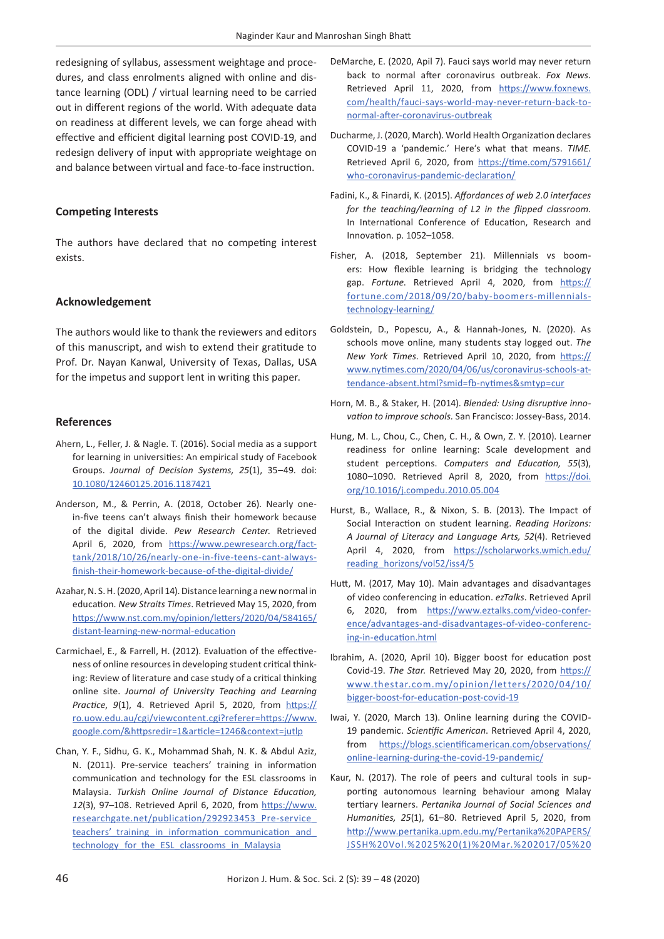redesigning of syllabus, assessment weightage and procedures, and class enrolments aligned with online and distance learning (ODL) / virtual learning need to be carried out in different regions of the world. With adequate data on readiness at different levels, we can forge ahead with effective and efficient digital learning post COVID-19, and redesign delivery of input with appropriate weightage on and balance between virtual and face-to-face instruction.

### **Competing Interests**

The authors have declared that no competing interest exists.

#### **Acknowledgement**

The authors would like to thank the reviewers and editors of this manuscript, and wish to extend their gratitude to Prof. Dr. Nayan Kanwal, University of Texas, Dallas, USA for the impetus and support lent in writing this paper.

#### **References**

- Ahern, L., Feller, J. & Nagle. T. (2016). Social media as a support for learning in universities: An empirical study of Facebook Groups. *Journal of Decision Systems, 25*(1), 35–49. doi: [10.1080/12460125.2016.1187421](https://doi.org/10.1080/12460125.2016.1187421)
- Anderson, M., & Perrin, A. (2018, October 26). Nearly onein-five teens can't always finish their homework because of the digital divide. *Pew Research Center*. Retrieved April 6, 2020, from [https://www.pewresearch.org/fact](https://www.pewresearch.org/fact-tank/2018/10/26/nearly-one-in-five-teens-cant-always-finish-their-homework-because-of-the-digital-divide/)[tank/2018/10/26/nearly-one-in-five-teens-cant-always](https://www.pewresearch.org/fact-tank/2018/10/26/nearly-one-in-five-teens-cant-always-finish-their-homework-because-of-the-digital-divide/)[finish-their-homework-because-of-the-digital-divide/](https://www.pewresearch.org/fact-tank/2018/10/26/nearly-one-in-five-teens-cant-always-finish-their-homework-because-of-the-digital-divide/)
- Azahar, N. S. H. (2020, April 14). Distance learning a new normal in education*. New Straits Times*. Retrieved May 15, 2020, from [https://www.nst.com.my/opinion/letters/2020/04/584165/](https://www.nst.com.my/opinion/letters/2020/04/584165/distant-learning-new-normal-education) [distant-learning-new-normal-education](https://www.nst.com.my/opinion/letters/2020/04/584165/distant-learning-new-normal-education)
- Carmichael, E., & Farrell, H. (2012). Evaluation of the effectiveness of online resources in developing student critical thinking: Review of literature and case study of a critical thinking online site. *Journal of University Teaching and Learning Practice*, 9(1), 4. Retrieved April 5, 2020, from [https://](https://ro.uow.edu.au/cgi/viewcontent.cgi?referer=https://www.google.com/&httpsredir=1&article=1246&context=jutlp) [ro.uow.edu.au/cgi/viewcontent.cgi?referer=https://www.](https://ro.uow.edu.au/cgi/viewcontent.cgi?referer=https://www.google.com/&httpsredir=1&article=1246&context=jutlp) [google.com/&httpsredir=1&article=1246&context=jutlp](https://ro.uow.edu.au/cgi/viewcontent.cgi?referer=https://www.google.com/&httpsredir=1&article=1246&context=jutlp)
- Chan, Y. F., Sidhu, G. K., Mohammad Shah, N. K. & Abdul Aziz, N. (2011). Pre-service teachers' training in information communication and technology for the ESL classrooms in Malaysia. *Turkish Online Journal of Distance Education, 12*(3), 97–108. Retrieved April 6, 2020, from [https://www.](https://www.researchgate.net/publication/292923453_Pre-service_teachers’_training_in_information_communication_and_technology_for_the_ESL_classrooms_in_Malaysia) [researchgate.net/publication/292923453\\_Pre-service\\_](https://www.researchgate.net/publication/292923453_Pre-service_teachers’_training_in_information_communication_and_technology_for_the_ESL_classrooms_in_Malaysia) teachers' training in information communication and technology for the ESL classrooms in Malaysia
- DeMarche, E. (2020, Apil 7). Fauci says world may never return back to normal after coronavirus outbreak. *Fox News.*  Retrieved April 11, 2020, from [https://www.foxnews.](https://www.foxnews.com/health/fauci-says-world-may-never-return-back-to-normal-after-coronavirus-outbreak) [com/health/fauci-says-world-may-never-return-back-to](https://www.foxnews.com/health/fauci-says-world-may-never-return-back-to-normal-after-coronavirus-outbreak)[normal-after-coronavirus-outbreak](https://www.foxnews.com/health/fauci-says-world-may-never-return-back-to-normal-after-coronavirus-outbreak)
- Ducharme, J. (2020, March). World Health Organization declares COVID-19 a 'pandemic.' Here's what that means. *TIME*. Retrieved April 6, 2020, from [https://time.com/5791661/](https://time.com/5791661/who-coronavirus-pandemic-declaration/) [who-coronavirus-pandemic-declaration/](https://time.com/5791661/who-coronavirus-pandemic-declaration/)
- Fadini, K., & Finardi, K. (2015). *Affordances of web 2.0 interfaces for the teaching/learning of L2 in the flipped classroom.*  In International Conference of Education, Research and Innovation. p. 1052–1058.
- Fisher, A. (2018, September 21). Millennials vs boomers: How flexible learning is bridging the technology gap. Fortune. Retrieved April 4, 2020, from [https://](https://fortune.com/2018/09/20/baby-boomers-millennials-technology-learning/) [fortune.com/2018/09/20/baby-boomers-millennials](https://fortune.com/2018/09/20/baby-boomers-millennials-technology-learning/)[technology-learning/](https://fortune.com/2018/09/20/baby-boomers-millennials-technology-learning/)
- Goldstein, D., Popescu, A., & Hannah-Jones, N. (2020). As schools move online, many students stay logged out. *The New York Times*. Retrieved April 10, 2020, from [https://](https://www.nytimes.com/2020/04/06/us/coronavirus-schools-attendance-absent.html?smid=fb-nytimes&smtyp=cur) [www.nytimes.com/2020/04/06/us/coronavirus-schools-at](https://www.nytimes.com/2020/04/06/us/coronavirus-schools-attendance-absent.html?smid=fb-nytimes&smtyp=cur)[tendance-absent.html?smid=fb-nytimes&smtyp=cur](https://www.nytimes.com/2020/04/06/us/coronavirus-schools-attendance-absent.html?smid=fb-nytimes&smtyp=cur)
- Horn, M. B., & Staker, H. (2014). *Blended: Using disruptive innovation to improve schools.* San Francisco: Jossey-Bass, 2014.
- Hung, M. L., Chou, C., Chen, C. H., & Own, Z. Y. (2010). Learner readiness for online learning: Scale development and student perceptions. *Computers and Education, 55*(3), 1080–1090. Retrieved April 8, 2020, from [https://doi.](https://doi.org/10.1016/j.compedu.2010.05.004) [org/10.1016/j.compedu.2010.05.004](https://doi.org/10.1016/j.compedu.2010.05.004)
- Hurst, B., Wallace, R., & Nixon, S. B. (2013). The Impact of Social Interaction on student learning. *Reading Horizons: A Journal of Literacy and Language Arts, 52*(4). Retrieved April 4, 2020, from [https://scholarworks.wmich.edu/](https://scholarworks.wmich.edu/reading_horizons/vol52/iss4/5) [reading\\_horizons/vol52/iss4/5](https://scholarworks.wmich.edu/reading_horizons/vol52/iss4/5)
- Hutt, M. (2017, May 10). Main advantages and disadvantages of video conferencing in education. *ezTalks*. Retrieved April 6, 2020, from [https://www.eztalks.com/video-confer](https://www.eztalks.com/video-conference/advantages-and-disadvantages-of-video-conferencing-in-education.html)[ence/advantages-and-disadvantages-of-video-conferenc](https://www.eztalks.com/video-conference/advantages-and-disadvantages-of-video-conferencing-in-education.html)[ing-in-education.html](https://www.eztalks.com/video-conference/advantages-and-disadvantages-of-video-conferencing-in-education.html)
- Ibrahim, A. (2020, April 10). Bigger boost for education post Covid-19. *The Star.* Retrieved May 20, 2020, from [https://](https://www.thestar.com.my/opinion/letters/2020/04/10/bigger-boost-for-education-post-covid-19) [www.thestar.com.my/opinion/letters/2020/04/10/](https://www.thestar.com.my/opinion/letters/2020/04/10/bigger-boost-for-education-post-covid-19) [bigger-boost-for-education-post-covid-19](https://www.thestar.com.my/opinion/letters/2020/04/10/bigger-boost-for-education-post-covid-19)
- Iwai, Y. (2020, March 13). Online learning during the COVID-19 pandemic. *Scientific American*. Retrieved April 4, 2020, from [https://blogs.scientificamerican.com/observations/](https://blogs.scientificamerican.com/observations/online-learning-during-the-covid-19-pandemic/) [online-learning-during-the-covid-19-pandemic/](https://blogs.scientificamerican.com/observations/online-learning-during-the-covid-19-pandemic/)
- Kaur, N. (2017). The role of peers and cultural tools in supporting autonomous learning behaviour among Malay tertiary learners. *Pertanika Journal of Social Sciences and Humanities, 25*(1), 61–80. Retrieved April 5, 2020, from [http://www.pertanika.upm.edu.my/Pertanika%20PAPERS/](http://www.pertanika.upm.edu.my/Pertanika%20PAPERS/JSSH%20Vol.%2025%20(1)%20Mar.%202017/05%20JSSH%20Vol%2025%20(1)%20Mar%202017_1198-2014_pg61-80.pdf) [JSSH%20Vol.%2025%20\(1\)%20Mar.%202017/05%20](http://www.pertanika.upm.edu.my/Pertanika%20PAPERS/JSSH%20Vol.%2025%20(1)%20Mar.%202017/05%20JSSH%20Vol%2025%20(1)%20Mar%202017_1198-2014_pg61-80.pdf)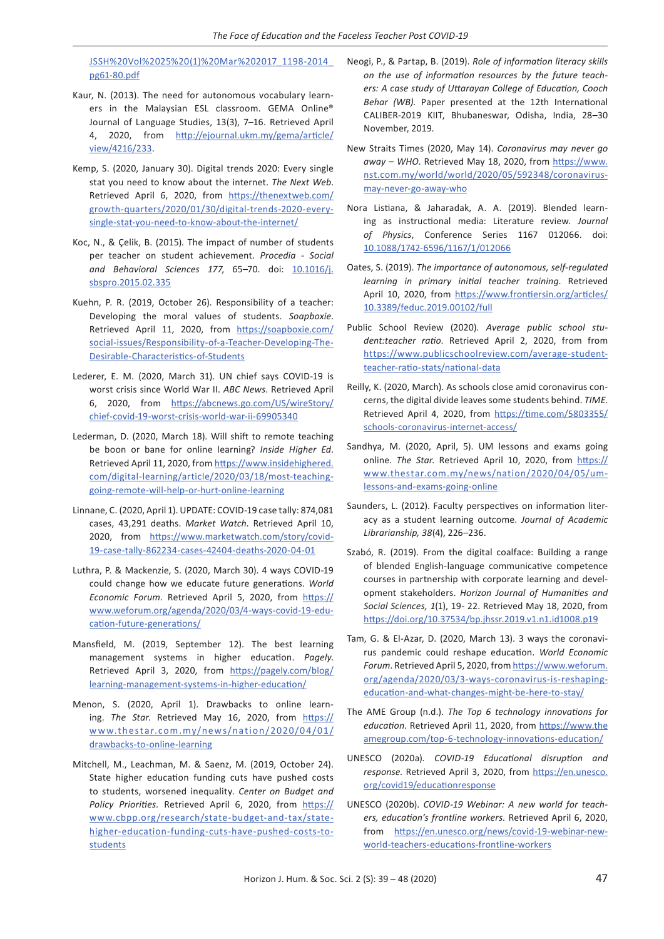[JSSH%20Vol%2025%20\(1\)%20Mar%202017\\_1198-2014\\_](http://www.pertanika.upm.edu.my/Pertanika%20PAPERS/JSSH%20Vol.%2025%20(1)%20Mar.%202017/05%20JSSH%20Vol%2025%20(1)%20Mar%202017_1198-2014_pg61-80.pdf) [pg61-80.pdf](http://www.pertanika.upm.edu.my/Pertanika%20PAPERS/JSSH%20Vol.%2025%20(1)%20Mar.%202017/05%20JSSH%20Vol%2025%20(1)%20Mar%202017_1198-2014_pg61-80.pdf)

- Kaur, N. (2013). The need for autonomous vocabulary learners in the Malaysian ESL classroom. GEMA Online® Journal of Language Studies, 13(3), 7–16. Retrieved April 4, 2020, from [http://ejournal.ukm.my/gema/article/](http://ejournal.ukm.my/gema/article/view/4216/233) [view/4216/233](http://ejournal.ukm.my/gema/article/view/4216/233).
- Kemp, S. (2020, January 30). Digital trends 2020: Every single stat you need to know about the internet. *The Next Web*. Retrieved April 6, 2020, from [https://thenextweb.com/](https://thenextweb.com/growth-quarters/2020/01/30/digital-trends-2020-every-single-stat-you-need-to-know-about-the-internet/) [growth-quarters/2020/01/30/digital-trends-2020-every](https://thenextweb.com/growth-quarters/2020/01/30/digital-trends-2020-every-single-stat-you-need-to-know-about-the-internet/)[single-stat-you-need-to-know-about-the-internet/](https://thenextweb.com/growth-quarters/2020/01/30/digital-trends-2020-every-single-stat-you-need-to-know-about-the-internet/)
- Koc, N., & Çelik, B. (2015). The impact of number of students per teacher on student achievement. *Procedia - Social and Behavioral Sciences 177*, 65–70. doi: [10.1016/j.](https://doi.org/10.1016/j.sbspro.2015.02.335) [sbspro.2015.02.335](https://doi.org/10.1016/j.sbspro.2015.02.335)
- Kuehn, P. R. (2019, October 26). Responsibility of a teacher: Developing the moral values of students. *Soapboxie*. Retrieved April 11, 2020, from [https://soapboxie.com/](https://soapboxie.com/social-issues/Responsibility-of-a-Teacher-Developing-The-Desirable-Characteristics-of-Students) [social-issues/Responsibility-of-a-Teacher-Developing-The-](https://soapboxie.com/social-issues/Responsibility-of-a-Teacher-Developing-The-Desirable-Characteristics-of-Students)[Desirable-Characteristics-of-Students](https://soapboxie.com/social-issues/Responsibility-of-a-Teacher-Developing-The-Desirable-Characteristics-of-Students)
- Lederer, E. M. (2020, March 31). UN chief says COVID-19 is worst crisis since World War II. *ABC News*. Retrieved April 6, 2020, from [https://abcnews.go.com/US/wireStory/](https://abcnews.go.com/US/wireStory/chief-covid-19-worst-crisis-world-war-ii-69905340) [chief-covid-19-worst-crisis-world-war-ii-69905340](https://abcnews.go.com/US/wireStory/chief-covid-19-worst-crisis-world-war-ii-69905340)
- Lederman, D. (2020, March 18). Will shift to remote teaching be boon or bane for online learning? *Inside Higher Ed*. Retrieved April 11, 2020, from [https://www.insidehighered.](https://www.insidehighered.com/digital-learning/article/2020/03/18/most-teaching-going-remote-will-help-or-hurt-online-learning) [com/digital-learning/article/2020/03/18/most-teaching](https://www.insidehighered.com/digital-learning/article/2020/03/18/most-teaching-going-remote-will-help-or-hurt-online-learning)[going-remote-will-help-or-hurt-online-learning](https://www.insidehighered.com/digital-learning/article/2020/03/18/most-teaching-going-remote-will-help-or-hurt-online-learning)
- Linnane, C. (2020, April 1). UPDATE: COVID-19 case tally: 874,081 cases, 43,291 deaths. *Market Watch*. Retrieved April 10, 2020, from [https://www.marketwatch.com/story/covid-](https://www.marketwatch.com/story/covid-19-case-tally-862234-cases-42404-deaths-2020-04-01)[19-case-tally-862234-cases-42404-deaths-2020-04-01](https://www.marketwatch.com/story/covid-19-case-tally-862234-cases-42404-deaths-2020-04-01)
- Luthra, P. & Mackenzie, S. (2020, March 30). 4 ways COVID-19 could change how we educate future generations. *World Economic Forum*. Retrieved April 5, 2020, from [https://](https://www.weforum.org/agenda/2020/03/4-ways-covid-19-education-future-generations/) [www.weforum.org/agenda/2020/03/4-ways-covid-19-edu](https://www.weforum.org/agenda/2020/03/4-ways-covid-19-education-future-generations/)[cation-future-generations/](https://www.weforum.org/agenda/2020/03/4-ways-covid-19-education-future-generations/)
- Mansfield, M. (2019, September 12). The best learning management systems in higher education. *Pagely*. Retrieved April 3, 2020, from [https://pagely.com/blog/](https://pagely.com/blog/learning-management-systems-in-higher-education/) [learning-management-systems-in-higher-education/](https://pagely.com/blog/learning-management-systems-in-higher-education/)
- Menon, S. (2020, April 1). Drawbacks to online learning. The Star. Retrieved May 16, 2020, from [https://](https://www.thestar.com.my/news/nation/2020/04/01/drawbacks-to-online-learning) [www.thestar.com.my/news/nation/2020/04/01/](https://www.thestar.com.my/news/nation/2020/04/01/drawbacks-to-online-learning) [drawbacks-to-online-learning](https://www.thestar.com.my/news/nation/2020/04/01/drawbacks-to-online-learning)
- Mitchell, M., Leachman, M. & Saenz, M. (2019, October 24). State higher education funding cuts have pushed costs to students, worsened inequality. *Center on Budget and Policy Priorities.* Retrieved April 6, 2020, from [https://](https://www.cbpp.org/research/state-budget-and-tax/state-higher-education-funding-cuts-have-pushed-costs-to-students) [www.cbpp.org/research/state-budget-and-tax/state](https://www.cbpp.org/research/state-budget-and-tax/state-higher-education-funding-cuts-have-pushed-costs-to-students)[higher-education-funding-cuts-have-pushed-costs-to](https://www.cbpp.org/research/state-budget-and-tax/state-higher-education-funding-cuts-have-pushed-costs-to-students)[students](https://www.cbpp.org/research/state-budget-and-tax/state-higher-education-funding-cuts-have-pushed-costs-to-students)
- Neogi, P., & Partap, B. (2019). *Role of information literacy skills on the use of information resources by the future teachers: A case study of Uttarayan College of Education, Cooch Behar (WB).* Paper presented at the 12th International CALIBER-2019 KIIT, Bhubaneswar, Odisha, India, 28–30 November, 2019.
- New Straits Times (2020, May 14). *Coronavirus may never go away – WHO*. Retrieved May 18, 2020, from [https://www.](https://www.nst.com.my/world/world/2020/05/592348/coronavirus-may-never-go-away-who) [nst.com.my/world/world/2020/05/592348/coronavirus](https://www.nst.com.my/world/world/2020/05/592348/coronavirus-may-never-go-away-who)[may-never-go-away-who](https://www.nst.com.my/world/world/2020/05/592348/coronavirus-may-never-go-away-who)
- Nora Listiana, & Jaharadak, A. A. (2019). Blended learning as instructional media: Literature review. *Journal of Physics*, Conference Series 1167 012066. doi: [10.1088/1742-6596/1167/1/012066](https://doi.org/10.1088/1742-6596/1167/1/012066)
- Oates, S. (2019). *The importance of autonomous, self-regulated learning in primary initial teacher training*. Retrieved April 10, 2020, from [https://www.frontiersin.org/articles/](https://www.frontiersin.org/articles/10.3389/feduc.2019.00102/full) [10.3389/feduc.2019.00102/full](https://www.frontiersin.org/articles/10.3389/feduc.2019.00102/full)
- Public School Review (2020). *Average public school student:teacher ratio*. Retrieved April 2, 2020, from from [https://www.publicschoolreview.com/average-student](https://www.publicschoolreview.com/average-student-teacher-ratio-stats/national-data)[teacher-ratio-stats/national-data](https://www.publicschoolreview.com/average-student-teacher-ratio-stats/national-data)
- Reilly, K. (2020, March). As schools close amid coronavirus concerns, the digital divide leaves some students behind. *TIME*. Retrieved April 4, 2020, from [https://time.com/5803355/](https://time.com/5803355/schools-coronavirus-internet-access/) [schools-coronavirus-internet-access/](https://time.com/5803355/schools-coronavirus-internet-access/)
- Sandhya, M. (2020, April, 5). UM lessons and exams going online. *The Star*. Retrieved April 10, 2020, from [https://](https://www.thestar.com.my/news/nation/2020/04/05/um-lessons-and-exams-going-online) [www.thestar.com.my/news/nation/2020/04/05/um](https://www.thestar.com.my/news/nation/2020/04/05/um-lessons-and-exams-going-online)[lessons-and-exams-going-online](https://www.thestar.com.my/news/nation/2020/04/05/um-lessons-and-exams-going-online)
- Saunders, L. (2012). Faculty perspectives on information literacy as a student learning outcome. *Journal of Academic Librarianship, 38*(4), 226–236.
- Szabó, R. (2019). From the digital coalface: Building a range of blended English-language communicative competence courses in partnership with corporate learning and development stakeholders. *Horizon Journal of Humanities and Social Sciences, 1*(1), 19- 22. Retrieved May 18, 2020, from <https://doi.org/10.37534/bp.jhssr.2019.v1.n1.id1008.p19>
- Tam, G. & El-Azar, D. (2020, March 13). 3 ways the coronavirus pandemic could reshape education. *World Economic Forum*. Retrieved April 5, 2020, from [https://www.weforum.](https://www.weforum.org/agenda/2020/03/3-ways-coronavirus-is-reshaping-education-and-what-changes-might-be-here-to-stay/) [org/agenda/2020/03/3-ways-coronavirus-is-reshaping](https://www.weforum.org/agenda/2020/03/3-ways-coronavirus-is-reshaping-education-and-what-changes-might-be-here-to-stay/)[education-and-what-changes-might-be-here-to-stay/](https://www.weforum.org/agenda/2020/03/3-ways-coronavirus-is-reshaping-education-and-what-changes-might-be-here-to-stay/)
- The AME Group (n.d.). *The Top 6 technology innovations for education*. Retrieved April 11, 2020, from [https://www.the](https://www.theamegroup.com/top-6-technology-innovations-education/) [amegroup.com/top-6-technology-innovations-education/](https://www.theamegroup.com/top-6-technology-innovations-education/)
- UNESCO (2020a). *COVID-19 Educational disruption and response*. Retrieved April 3, 2020, from [https://en.unesco.](https://en.unesco.org/covid19/educationresponse) [org/covid19/educationresponse](https://en.unesco.org/covid19/educationresponse)
- UNESCO (2020b). *COVID-19 Webinar: A new world for teachers, education's frontline workers.* Retrieved April 6, 2020, from [https://en.unesco.org/news/covid-19-webinar-new](https://en.unesco.org/news/covid-19-webinar-new-world-teachers-educations-frontline-workers)[world-teachers-educations-frontline-workers](https://en.unesco.org/news/covid-19-webinar-new-world-teachers-educations-frontline-workers)